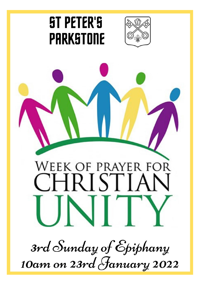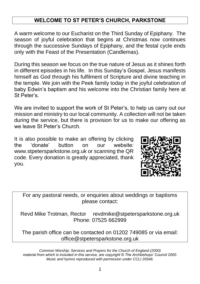## **WELCOME TO ST PETER'S CHURCH, PARKSTONE**

A warm welcome to our Eucharist on the Third Sunday of Epiphany. The season of joyful celebration that begins at Christmas now continues through the successive Sundays of Epiphany, and the festal cycle ends only with the Feast of the Presentation (Candlemas).

During this season we focus on the true nature of Jesus as it shines forth in different episodes in his life. In this Sunday's Gospel, Jesus manifests himself as God through his fulfilment of Scripture and divine teaching in the temple. We join with the Peek family today in the joyful celebration of baby Edwin's baptism and his welcome into the Christian family here at St Peter's.

We are invited to support the work of St Peter's, to help us carry out our mission and ministry to our local community. A collection will not be taken during the service, but there is provision for us to make our offering as we leave St Peter's Church.

It is also possible to make an offering by clicking the 'donate' button on our website: www.stpetersparkstone.org.uk or scanning the QR code. Every donation is greatly appreciated, thank you.



For any pastoral needs, or enquiries about weddings or baptisms please contact:

Revd Mike Trotman, Rector revdmike@stpetersparkstone.org.uk Phone: 07525 662999

The parish office can be contacted on 01202 749085 or via email: office@stpetersparkstone.org.uk

*Common Worship: Services and Prayers for the Church of England (2000) material from which is included in this service, are copyright © The Archbishops' Council 2000. Music and hymns reproduced with permission under CCLI 20546.*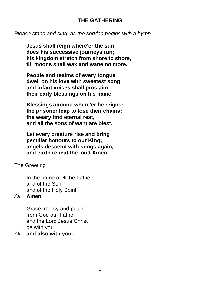#### **THE GATHERING**

*Please stand and sing, as the service begins with a hymn.*

**Jesus shall reign where'er the sun does his successive journeys run; his kingdom stretch from shore to shore, till moons shall wax and wane no more.**

**People and realms of every tongue dwell on his love with sweetest song, and infant voices shall proclaim their early blessings on his name.**

**Blessings abound where'er he reigns: the prisoner leap to lose their chains; the weary find eternal rest, and all the sons of want are blest.**

**Let every creature rise and bring peculiar honours to our King; angels descend with songs again, and earth repeat the loud Amen.**

#### The Greeting

In the name of  $\Phi$  the Father, and of the Son, and of the Holy Spirit.

#### *All* **Amen.**

Grace, mercy and peace from God our Father and the Lord Jesus Christ be with you

*All* **and also with you.**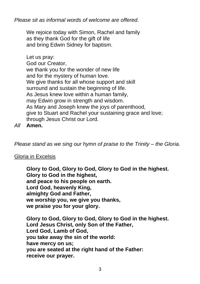*Please sit as informal words of welcome are offered.*

We rejoice today with Simon, Rachel and family as they thank God for the gift of life and bring Edwin Sidney for baptism.

Let us pray: God our Creator, we thank you for the wonder of new life and for the mystery of human love. We give thanks for all whose support and skill surround and sustain the beginning of life. As Jesus knew love within a human family, may Edwin grow in strength and wisdom. As Mary and Joseph knew the joys of parenthood, give to Stuart and Rachel your sustaining grace and love; through Jesus Christ our Lord.

*All* **Amen.** 

*Please stand as we sing our hymn of praise to the Trinity – the Gloria.* 

### Gloria in Excelsis

**Glory to God, Glory to God, Glory to God in the highest. Glory to God in the highest, and peace to his people on earth. Lord God, heavenly King, almighty God and Father, we worship you, we give you thanks, we praise you for your glory.**

**Glory to God, Glory to God, Glory to God in the highest. Lord Jesus Christ, only Son of the Father, Lord God, Lamb of God, you take away the sin of the world: have mercy on us; you are seated at the right hand of the Father: receive our prayer.**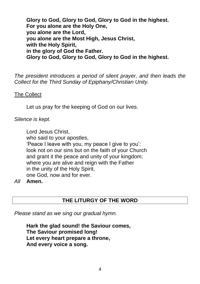**Glory to God, Glory to God, Glory to God in the highest. For you alone are the Holy One, you alone are the Lord, you alone are the Most High, Jesus Christ, with the Holy Spirit, in the glory of God the Father. Glory to God, Glory to God, Glory to God in the highest.**

*The president introduces a period of silent prayer, and then leads the Collect for the Third Sunday of Epiphany/Christian Unity.*

The Collect

Let us pray for the keeping of God on our lives.

*Silence is kept.*

Lord Jesus Christ, who said to your apostles, 'Peace I leave with you, my peace I give to you': look not on our sins but on the faith of your Church and grant it the peace and unity of your kingdom; where you are alive and reign with the Father in the unity of the Holy Spirit, one God, now and for ever.

*All* **Amen.**

## **THE LITURGY OF THE WORD**

*Please stand as we sing our gradual hymn.*

**Hark the glad sound! the Saviour comes, The Saviour promised long! Let every heart prepare a throne, And every voice a song.**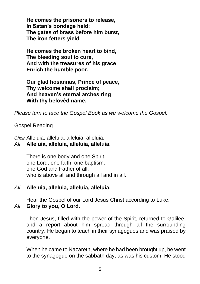**He comes the prisoners to release, In Satan's bondage held; The gates of brass before him burst, The iron fetters yield.**

**He comes the broken heart to bind, The bleeding soul to cure, And with the treasures of his grace Enrich the humble poor.**

**Our glad hosannas, Prince of peace, Thy welcome shall proclaim; And heaven's eternal arches ring With thy belovèd name.**

*Please turn to face the Gospel Book as we welcome the Gospel.*

#### Gospel Reading

*Choir* Alleluia, alleluia, alleluia, alleluia.

## *All* **Alleluia, alleluia, alleluia, alleluia.**

There is one body and one Spirit, one Lord, one faith, one baptism, one God and Father of all, who is above all and through all and in all.

### *All* **Alleluia, alleluia, alleluia, alleluia.**

Hear the Gospel of our Lord Jesus Christ according to Luke. *All* **Glory to you, O Lord.**

Then Jesus, filled with the power of the Spirit, returned to Galilee, and a report about him spread through all the surrounding country. He began to teach in their synagogues and was praised by everyone.

When he came to Nazareth, where he had been brought up, he went to the synagogue on the sabbath day, as was his custom. He stood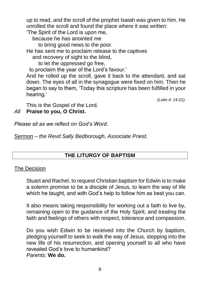up to read, and the scroll of the prophet Isaiah was given to him. He unrolled the scroll and found the place where it was written: 'The Spirit of the Lord is upon me,

because he has anointed me

to bring good news to the poor.

He has sent me to proclaim release to the captives and recovery of sight to the blind,

to let the oppressed go free,

to proclaim the year of the Lord's favour.'

And he rolled up the scroll, gave it back to the attendant, and sat down. The eyes of all in the synagogue were fixed on him. Then he began to say to them, 'Today this scripture has been fulfilled in your hearing.'

*(Luke 4: 14-21).*

This is the Gospel of the Lord.

*All* **Praise to you, O Christ.**

*Please sit as we reflect on God's Word.*

Sermon – *the Revd Sally Bedborough, Associate Priest.*

## **THE LITURGY OF BAPTISM**

#### The Decision

Stuart and Rachel, to request Christian baptism for Edwin is to make a solemn promise to be a disciple of Jesus, to learn the way of life which he taught, and with God's help to follow him as best you can.

It also means taking responsibility for working out a faith to live by, remaining open to the guidance of the Holy Spirit, and treating the faith and feelings of others with respect, tolerance and compassion.

Do you wish Edwin to be received into the Church by baptism, pledging yourself to seek to walk the way of Jesus, stepping into the new life of his resurrection, and opening yourself to all who have revealed God's love to humankind? *Parents:* **We do.**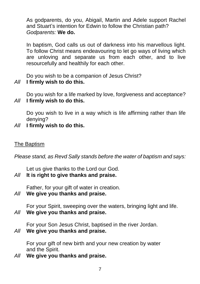As godparents, do you, Abigail, Martin and Adele support Rachel and Stuart's intention for Edwin to follow the Christian path? *Godparents:* **We do.**

In baptism, God calls us out of darkness into his marvellous light. To follow Christ means endeavouring to let go ways of living which are unloving and separate us from each other, and to live resourcefully and healthily for each other.

Do you wish to be a companion of Jesus Christ?

## *All* **I firmly wish to do this.**

Do you wish for a life marked by love, forgiveness and acceptance? *All* **I firmly wish to do this.**

Do you wish to live in a way which is life affirming rather than life denying?

*All* **I firmly wish to do this.**

### The Baptism

*Please stand, as Revd Sally stands before the water of baptism and says:*

Let us give thanks to the Lord our God.

*All* **It is right to give thanks and praise.**

Father, for your gift of water in creation.

*All* **We give you thanks and praise.**

For your Spirit, sweeping over the waters, bringing light and life. *All* **We give you thanks and praise.**

For your Son Jesus Christ, baptised in the river Jordan.

## *All* **We give you thanks and praise.**

For your gift of new birth and your new creation by water and the Spirit.

*All* **We give you thanks and praise.**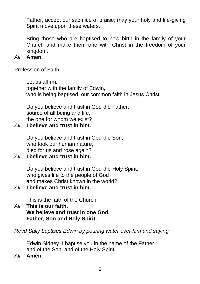Father, accept our sacrifice of praise; may your holy and life-giving Spirit move upon these waters.

Bring those who are baptised to new birth in the family of your Church and make them one with Christ in the freedom of your kingdom.

#### *All* **Amen.**

#### Profession of Faith

Let us affirm, together with the family of Edwin, who is being baptised, our common faith in Jesus Christ.

Do you believe and trust in God the Father, source of all being and life, the one for whom we exist?

#### *All* **I believe and trust in him.**

Do you believe and trust in God the Son, who took our human nature, died for us and rose again?

#### *All* **I believe and trust in him.**

Do you believe and trust in God the Holy Spirit, who gives life to the people of God and makes Christ known in the world?

#### *All* **I believe and trust in him.**

This is the faith of the Church.

#### *All* **This is our faith. We believe and trust in one God, Father, Son and Holy Spirit.**

*Revd Sally baptises Edwin by pouring water over him and saying:* 

Edwin Sidney, I baptise you in the name of the Father, and of the Son, and of the Holy Spirit.

*All* **Amen.**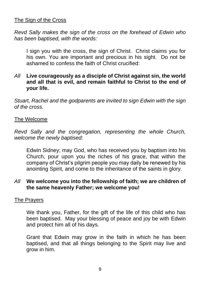### The Sign of the Cross

*Revd Sally makes the sign of the cross on the forehead of Edwin who has been baptised, with the words:* 

I sign you with the cross, the sign of Christ. Christ claims you for his own. You are important and precious in his sight. Do not be ashamed to confess the faith of Christ crucified:

### *All* **Live courageously as a disciple of Christ against sin, the world and all that is evil, and remain faithful to Christ to the end of your life.**

*Stuart, Rachel and the godparents are invited to sign Edwin with the sign of the cross.*

#### The Welcome

*Revd Sally and the congregation, representing the whole Church, welcome the newly baptised:*

Edwin Sidney; may God, who has received you by baptism into his Church, pour upon you the riches of his grace, that within the company of Christ's pilgrim people you may daily be renewed by his anointing Spirit, and come to the inheritance of the saints in glory.

### *All* **We welcome you into the fellowship of faith; we are children of the same heavenly Father; we welcome you!**

### The Prayers

We thank you, Father, for the gift of the life of this child who has been baptised. May your blessing of peace and joy be with Edwin and protect him all of his days.

Grant that Edwin may grow in the faith in which he has been baptised, and that all things belonging to the Spirit may live and grow in him.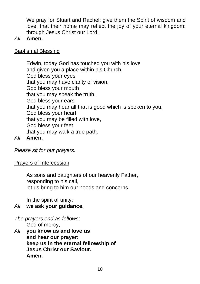We pray for Stuart and Rachel: give them the Spirit of wisdom and love, that their home may reflect the joy of your eternal kingdom: through Jesus Christ our Lord.

### *All* **Amen.**

## Baptismal Blessing

Edwin, today God has touched you with his love and given you a place within his Church. God bless your eyes that you may have clarity of vision, God bless your mouth that you may speak the truth, God bless your ears that you may hear all that is good which is spoken to you, God bless your heart that you may be filled with love, God bless your feet that you may walk a true path.

## *All* **Amen.**

*Please sit for our prayers.*

### Prayers of Intercession

As sons and daughters of our heavenly Father, responding to his call, let us bring to him our needs and concerns.

In the spirit of unity:

### *All* **we ask your guidance.**

*The prayers end as follows:* God of mercy,

*All* **you know us and love us and hear our prayer: keep us in the eternal fellowship of Jesus Christ our Saviour. Amen.**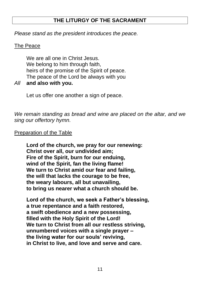## **THE LITURGY OF THE SACRAMENT**

*Please stand as the president introduces the peace.*

### The Peace

We are all one in Christ Jesus. We belong to him through faith, heirs of the promise of the Spirit of peace. The peace of the Lord be always with you

*All* **and also with you.**

Let us offer one another a sign of peace.

*We remain standing as bread and wine are placed on the altar, and we sing our offertory hymn.*

## Preparation of the Table

**Lord of the church, we pray for our renewing: Christ over all, our undivided aim; Fire of the Spirit, burn for our enduing, wind of the Spirit, fan the living flame! We turn to Christ amid our fear and failing, the will that lacks the courage to be free, the weary labours, all but unavailing, to bring us nearer what a church should be.**

**Lord of the church, we seek a Father's blessing, a true repentance and a faith restored, a swift obedience and a new possessing, filled with the Holy Spirit of the Lord! We turn to Christ from all our restless striving, unnumbered voices with a single prayer – the living water for our souls' reviving, in Christ to live, and love and serve and care.**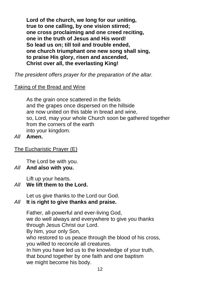**Lord of the church, we long for our uniting, true to one calling, by one vision stirred; one cross proclaiming and one creed reciting, one in the truth of Jesus and His word! So lead us on; till toil and trouble ended, one church triumphant one new song shall sing, to praise His glory, risen and ascended, Christ over all, the everlasting King!**

*The president offers prayer for the preparation of the altar.*

Taking of the Bread and Wine

As the grain once scattered in the fields and the grapes once dispersed on the hillside are now united on this table in bread and wine, so, Lord, may your whole Church soon be gathered together from the corners of the earth into your kingdom.

*All* **Amen.**

The Eucharistic Prayer (E)

The Lord be with you.

*All* **And also with you.**

Lift up your hearts.

# *All* **We lift them to the Lord.**

Let us give thanks to the Lord our God.

# *All* **It is right to give thanks and praise.**

Father, all-powerful and ever-living God, we do well always and everywhere to give you thanks through Jesus Christ our Lord. By him, your only Son, who restored to us peace through the blood of his cross, you willed to reconcile all creatures. In him you have led us to the knowledge of your truth, that bound together by one faith and one baptism we might become his body.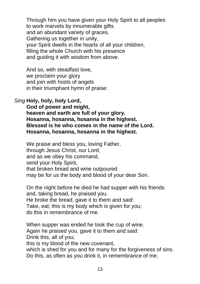Through him you have given your Holy Spirit to all peoples to work marvels by innumerable gifts and an abundant variety of graces. Gathering us together in unity, your Spirit dwells in the hearts of all your children, filling the whole Church with his presence and guiding it with wisdom from above.

And so, with steadfast love, we proclaim your glory and join with hosts of angels in their triumphant hymn of praise:

### *Sing* **Holy, holy, holy Lord,**

**God of power and might, heaven and earth are full of your glory. Hosanna, hosanna, hosanna in the highest. Blessed is he who comes in the name of the Lord. Hosanna, hosanna, hosanna in the highest.**

We praise and bless you, loving Father, through Jesus Christ, our Lord; and as we obey his command, send your Holy Spirit, that broken bread and wine outpoured may be for us the body and blood of your dear Son.

On the night before he died he had supper with his friends and, taking bread, he praised you. He broke the bread, gave it to them and said: Take, eat; this is my body which is given for you; do this in remembrance of me.

When supper was ended he took the cup of wine. Again he praised you, gave it to them and said: Drink this, all of you;

this is my blood of the new covenant,

which is shed for you and for many for the forgiveness of sins. Do this, as often as you drink it, in remembrance of me.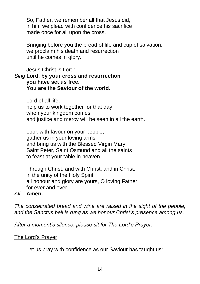So, Father, we remember all that Jesus did, in him we plead with confidence his sacrifice made once for all upon the cross.

Bringing before you the bread of life and cup of salvation, we proclaim his death and resurrection until he comes in glory.

#### Jesus Christ is Lord: *Sing* **Lord, by your cross and resurrection you have set us free. You are the Saviour of the world.**

Lord of all life, help us to work together for that day when your kingdom comes and justice and mercy will be seen in all the earth.

Look with favour on your people, gather us in your loving arms and bring us with the Blessed Virgin Mary, Saint Peter, Saint Osmund and all the saints to feast at your table in heaven.

Through Christ, and with Christ, and in Christ, in the unity of the Holy Spirit, all honour and glory are yours, O loving Father, for ever and ever.

### *All* **Amen.**

*The consecrated bread and wine are raised in the sight of the people, and the Sanctus bell is rung as we honour Christ's presence among us.*

*After a moment's silence, please sit for The Lord's Prayer.*

### The Lord's Prayer

Let us pray with confidence as our Saviour has taught us: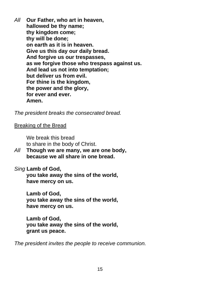*All* **Our Father, who art in heaven, hallowed be thy name; thy kingdom come; thy will be done; on earth as it is in heaven. Give us this day our daily bread. And forgive us our trespasses, as we forgive those who trespass against us. And lead us not into temptation; but deliver us from evil. For thine is the kingdom, the power and the glory, for ever and ever. Amen.**

*The president breaks the consecrated bread.*

Breaking of the Bread

We break this bread to share in the body of Christ.

*All* **Though we are many, we are one body, because we all share in one bread.**

*Sing* **Lamb of God,**

**you take away the sins of the world, have mercy on us.** 

**Lamb of God,** 

**you take away the sins of the world, have mercy on us.** 

**Lamb of God, you take away the sins of the world, grant us peace.**

*The president invites the people to receive communion.*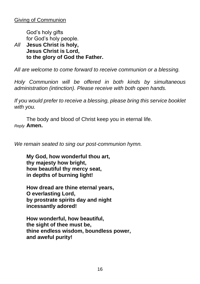God's holy gifts for God's holy people.

*All* **Jesus Christ is holy, Jesus Christ is Lord, to the glory of God the Father.**

*All are welcome to come forward to receive communion or a blessing.*

*Holy Communion will be offered in both kinds by simultaneous administration (intinction). Please receive with both open hands.* 

*If you would prefer to receive a blessing, please bring this service booklet with you.*

The body and blood of Christ keep you in eternal life. *Reply* **Amen.**

*We remain seated to sing our post-communion hymn.*

**My God, how wonderful thou art, thy majesty how bright, how beautiful thy mercy seat, in depths of burning light!**

**How dread are thine eternal years, O everlasting Lord, by prostrate spirits day and night incessantly adored!**

**How wonderful, how beautiful, the sight of thee must be, thine endless wisdom, boundless power, and aweful purity!**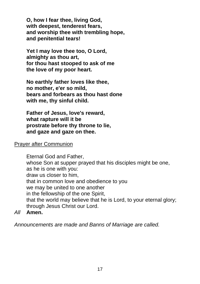**O, how I fear thee, living God, with deepest, tenderest fears, and worship thee with trembling hope, and penitential tears!**

**Yet I may love thee too, O Lord, almighty as thou art, for thou hast stooped to ask of me the love of my poor heart.**

**No earthly father loves like thee, no mother, e'er so mild, bears and forbears as thou hast done with me, thy sinful child.**

**Father of Jesus, love's reward, what rapture will it be prostrate before thy throne to lie, and gaze and gaze on thee.**

#### Prayer after Communion

Eternal God and Father, whose Son at supper prayed that his disciples might be one, as he is one with you: draw us closer to him, that in common love and obedience to you we may be united to one another in the fellowship of the one Spirit, that the world may believe that he is Lord, to your eternal glory; through Jesus Christ our Lord.

*All* **Amen.**

*Announcements are made and Banns of Marriage are called.*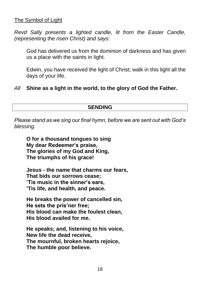### The Symbol of Light

*Revd Sally presents a lighted candle, lit from the Easter Candle, (representing the risen Christ) and says:* 

God has delivered us from the dominion of darkness and has given us a place with the saints in light.

Edwin, you have received the light of Christ; walk in this light all the days of your life.

### *All* **Shine as a light in the world, to the glory of God the Father.**

#### **SENDING**

*Please stand as we sing our final hymn, before we are sent out with God's blessing.*

**O for a thousand tongues to sing My dear Redeemer's praise, The glories of my God and King, The triumphs of his grace!**

**Jesus - the name that charms our fears, That bids our sorrows cease; 'Tis music in the sinner's ears, 'Tis life, and health, and peace.**

**He breaks the power of cancelled sin, He sets the pris'ner free; His blood can make the foulest clean, His blood availed for me.**

**He speaks; and, listening to his voice, New life the dead receive, The mournful, broken hearts rejoice, The humble poor believe.**